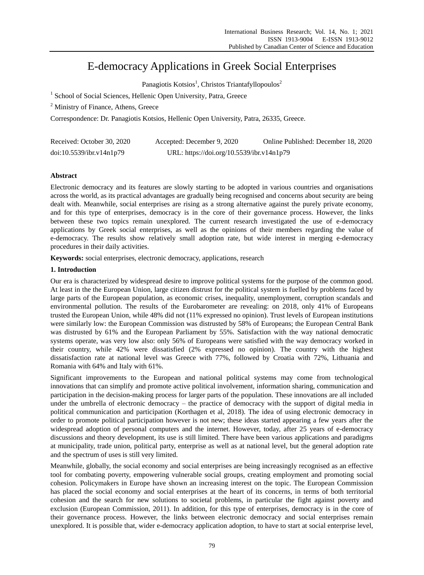# E-democracy Applications in Greek Social Enterprises

Panagiotis Kotsios<sup>1</sup>, Christos Triantafyllopoulos<sup>2</sup>

<sup>1</sup> School of Social Sciences, Hellenic Open University, Patra, Greece

<sup>2</sup> Ministry of Finance, Athens, Greece

Correspondence: Dr. Panagiotis Kotsios, Hellenic Open University, Patra, 26335, Greece.

| Received: October 30, 2020 | Accepted: December 9, 2020                | Online Published: December 18, 2020 |
|----------------------------|-------------------------------------------|-------------------------------------|
| doi:10.5539/ibr.v14n1p79   | URL: https://doi.org/10.5539/ibr.v14n1p79 |                                     |

# **Abstract**

Electronic democracy and its features are slowly starting to be adopted in various countries and organisations across the world, as its practical advantages are gradually being recognised and concerns about security are being dealt with. Meanwhile, social enterprises are rising as a strong alternative against the purely private economy, and for this type of enterprises, democracy is in the core of their governance process. However, the links between these two topics remain unexplored. The current research investigated the use of e-democracy applications by Greek social enterprises, as well as the opinions of their members regarding the value of e-democracy. The results show relatively small adoption rate, but wide interest in merging e-democracy procedures in their daily activities.

**Keywords:** social enterprises, electronic democracy, applications, research

# **1. Introduction**

Our era is characterized by widespread desire to improve political systems for the purpose of the common good. At least in the the European Union, large citizen distrust for the political system is fuelled by problems faced by large parts of the European population, as economic crises, inequality, unemployment, corruption scandals and environmental pollution. The results of the Eurobarometer are revealing: on 2018, only 41% of Europeans trusted the European Union, while 48% did not (11% expressed no opinion). Trust levels of European institutions were similarly low: the European Commission was distrusted by 58% of Europeans; the European Central Bank was distrusted by 61% and the European Parliament by 55%. Satisfaction with the way national democratic systems operate, was very low also: only 56% of Europeans were satisfied with the way democracy worked in their country, while 42% were dissatisfied (2% expressed no opinion). The country with the highest dissatisfaction rate at national level was Greece with 77%, followed by Croatia with 72%, Lithuania and Romania with 64% and Italy with 61%.

Significant improvements to the European and national political systems may come from technological innovations that can simplify and promote active political involvement, information sharing, communication and participation in the decision-making process for larger parts of the population. These innovations are all included under the umbrella of electronic democracy – the practice of democracy with the support of digital media in political communication and participation (Korthagen et al, 2018). The idea of using electronic democracy in order to promote political participation however is not new; these ideas started appearing a few years after the widespread adoption of personal computers and the internet. However, today, after 25 years of e-democracy discussions and theory development, its use is still limited. There have been various applications and paradigms at municipality, trade union, political party, enterprise as well as at national level, but the general adoption rate and the spectrum of uses is still very limited.

Meanwhile, globally, the social economy and social enterprises are being increasingly recognised as an effective tool for combating poverty, empowering vulnerable social groups, creating employment and promoting social cohesion. Policymakers in Europe have shown an increasing interest on the topic. The European Commission has placed the social economy and social enterprises at the heart of its concerns, in terms of both territorial cohesion and the search for new solutions to societal problems, in particular the fight against poverty and exclusion (European Commission, 2011). In addition, for this type of enterprises, democracy is in the core of their governance process. However, the links between electronic democracy and social enterprises remain unexplored. It is possible that, wider e-democracy application adoption, to have to start at social enterprise level,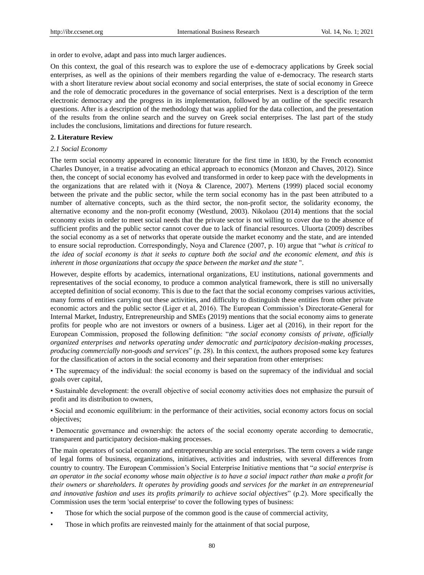in order to evolve, adapt and pass into much larger audiences.

On this context, the goal of this research was to explore the use of e-democracy applications by Greek social enterprises, as well as the opinions of their members regarding the value of e-democracy. The research starts with a short literature review about social economy and social enterprises, the state of social economy in Greece and the role of democratic procedures in the governance of social enterprises. Next is a description of the term electronic democracy and the progress in its implementation, followed by an outline of the specific research questions. After is a description of the methodology that was applied for the data collection, and the presentation of the results from the online search and the survey on Greek social enterprises. The last part of the study includes the conclusions, limitations and directions for future research.

#### **2. Literature Review**

## *2.1 Social Economy*

The term social economy appeared in economic literature for the first time in 1830, by the French economist Charles Dunoyer, in a treatise advocating an ethical approach to economics (Monzon and Chaves, 2012). Since then, the concept of social economy has evolved and transformed in order to keep pace with the developments in the organizations that are related with it (Noya & Clarence, 2007). Mertens (1999) placed social economy between the private and the public sector, while the term social economy has in the past been attributed to a number of alternative concepts, such as the third sector, the non-profit sector, the solidarity economy, the alternative economy and the non-profit economy (Westlund, 2003). Nikolaou (2014) mentions that the social economy exists in order to meet social needs that the private sector is not willing to cover due to the absence of sufficient profits and the public sector cannot cover due to lack of financial resources. Uluorta (2009) describes the social economy as a set of networks that operate outside the market economy and the state, and are intended to ensure social reproduction. Correspondingly, Noya and Clarence (2007, p. 10) argue that "*what is critical to the idea of social economy is that it seeks to capture both the social and the economic element, and this is inherent in those organizations that occupy the space between the market and the state* ".

However, despite efforts by academics, international organizations, EU institutions, national governments and representatives of the social economy, to produce a common analytical framework, there is still no universally accepted definition of social economy. This is due to the fact that the social economy comprises various activities, many forms of entities carrying out these activities, and difficulty to distinguish these entities from other private economic actors and the public sector (Liger et al, 2016). The European Commission's Directorate-General for Internal Market, Industry, Entrepreneurship and SMEs (2019) mentions that the social economy aims to generate profits for people who are not investors or owners of a business. Liger aet al (2016), in their report for the European Commission, proposed the following definition: "*the social economy consists of private, officially organized enterprises and networks operating under democratic and participatory decision-making processes, producing commercially non-goods and services*" (p. 28). In this context, the authors proposed some key features for the classification of actors in the social economy and their separation from other enterprises:

• The supremacy of the individual: the social economy is based on the supremacy of the individual and social goals over capital,

• Sustainable development: the overall objective of social economy activities does not emphasize the pursuit of profit and its distribution to owners,

• Social and economic equilibrium: in the performance of their activities, social economy actors focus on social objectives;

• Democratic governance and ownership: the actors of the social economy operate according to democratic, transparent and participatory decision-making processes.

The main operators of social economy and entrepreneurship are social enterprises. The term covers a wide range of legal forms of business, organizations, initiatives, activities and industries, with several differences from country to country. The European Commission's Social Enterprise Initiative mentions that "*a social enterprise is an operator in the social economy whose main objective is to have a social impact rather than make a profit for their owners or shareholders. It operates by providing goods and services for the market in an entrepreneurial and innovative fashion and uses its profits primarily to achieve social objectives*" (p.2). More specifically the Commission uses the term 'social enterprise' to cover the following types of business:

- Those for which the social purpose of the common good is the cause of commercial activity,
- Those in which profits are reinvested mainly for the attainment of that social purpose,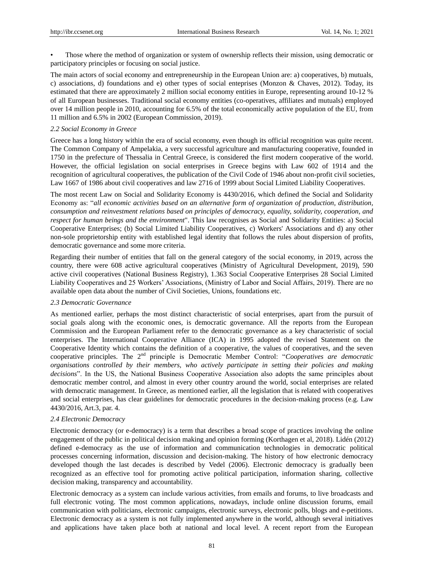• Those where the method of organization or system of ownership reflects their mission, using democratic or participatory principles or focusing on social justice.

The main actors of social economy and entrepreneurship in the European Union are: a) cooperatives, b) mutuals, c) associations, d) foundations and e) other types of social enteprises (Monzon & Chaves, 2012). Today, its estimated that there are approximately 2 million social economy entities in Europe, representing around 10-12 % of all European businesses. Traditional social economy entities (co-operatives, affiliates and mutuals) employed over 14 million people in 2010, accounting for 6.5% of the total economically active population of the EU, from 11 million and 6.5% in 2002 (European Commission, 2019).

#### *2.2 Social Economy in Greece*

Greece has a long history within the era of social economy, even though its official recognition was quite recent. The Common Company of Ampelakia, a very successful agriculture and manufacturing cooperative, founded in 1750 in the prefecture of Thessalia in Central Greece, is considered the first modern cooperative of the world. However, the official legislation on social enterprises in Greece begins with Law 602 of 1914 and the recognition of agricultural cooperatives, the publication of the Civil Code of 1946 about non-profit civil societies, Law 1667 of 1986 about civil cooperatives and law 2716 of 1999 about Social Limited Liability Cooperatives.

The most recent Law on Social and Solidarity Economy is 4430/2016, which defined the Social and Solidarity Economy as: "*all economic activities based on an alternative form of organization of production, distribution, consumption and reinvestment relations based on principles of democracy, equality, solidarity, cooperation, and respect for human beings and the environment*". This law recognises as Social and Solidarity Entities: a) Social Cooperative Enterprises; (b) Social Limited Liability Cooperatives, c) Workers' Associations and d) any other non-sole proprietorship entity with established legal identity that follows the rules about dispersion of profits, democratic governance and some more criteria.

Regarding their number of entities that fall on the general category of the social economy, in 2019, across the country, there were 608 active agricultural cooperatives (Ministry of Agricultural Development, 2019), 590 active civil cooperatives (National Business Registry), 1.363 Social Cooperative Enterprises 28 Social Limited Liability Cooperatives and 25 Workers' Associations, (Ministry of Labor and Social Affairs, 2019). There are no available open data about the number of Civil Societies, Unions, foundations etc.

#### *2.3 Democratic Governance*

As mentioned earlier, perhaps the most distinct characteristic of social enterprises, apart from the pursuit of social goals along with the economic ones, is democratic governance. All the reports from the European Commission and the European Parliament refer to the democratic governance as a key characteristic of social enterprises. The International Cooperative Alliance (ICA) in 1995 adopted the revised Statement on the Cooperative Identity which contains the definition of a cooperative, the values of cooperatives, and the seven cooperative principles. The 2nd principle is Democratic Member Control: "*Cooperatives are democratic organisations controlled by their members, who actively participate in setting their policies and making decisions*". In the US, the National Business Cooperative Association also adopts the same principles about democratic member control, and almost in every other country around the world, social enterprises are related with democratic management. In Greece, as mentioned earlier, all the legislation that is related with cooperatives and social enterprises, has clear guidelines for democratic procedures in the decision-making process (e.g. Law 4430/2016, Art.3, par. 4.

## *2.4 Electronic Democracy*

Electronic democracy (or e-democracy) is a term that describes a broad scope of practices involving the online engagement of the public in political decision making and opinion forming (Korthagen et al, 2018). Lidén (2012) defined e-democracy as the use of information and communication technologies in democratic political processes concerning information, discussion and decision-making. The history of how electronic democracy developed though the last decades is described by Vedel (2006). Electronic democracy is gradually been recognized as an effective tool for promoting active political participation, information sharing, collective decision making, transparency and accountability.

Electronic democracy as a system can include various activities, from emails and forums, to live broadcasts and full electronic voting. The most common applications, nowadays, include online discussion forums, email communication with politicians, electronic campaigns, electronic surveys, electronic polls, blogs and e-petitions. Electronic democracy as a system is not fully implemented anywhere in the world, although several initiatives and applications have taken place both at national and local level. A recent report from the European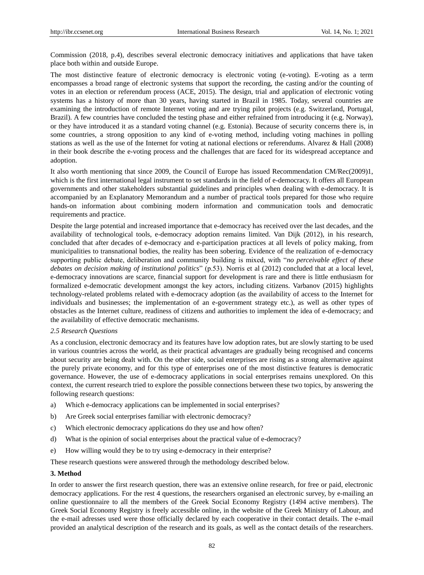Commission (2018, p.4), describes several electronic democracy initiatives and applications that have taken place both within and outside Europe.

The most distinctive feature of electronic democracy is electronic voting (e-voting). E-voting as a term encompasses a broad range of electronic systems that support the recording, the casting and/or the counting of votes in an election or referendum process (ACE, 2015). The design, trial and application of electronic voting systems has a history of more than 30 years, having started in Brazil in 1985. Today, several countries are examining the introduction of remote Internet voting and are trying pilot projects (e.g. Switzerland, Portugal, Brazil). A few countries have concluded the testing phase and either refrained from introducing it (e.g. Norway), or they have introduced it as a standard voting channel (e.g. Estonia). Because of security concerns there is, in some countries, a strong opposition to any kind of e-voting method, including voting machines in polling stations as well as the use of the Internet for voting at national elections or referendums. Alvarez & Hall (2008) in their book describe the e-voting process and the challenges that are faced for its widespread acceptance and adoption.

It also worth mentioning that since 2009, the Council of Europe has issued Recommendation CM/Rec(2009)1, which is the first international legal instrument to set standards in the field of e-democracy. It offers all European governments and other stakeholders substantial guidelines and principles when dealing with e-democracy. It is accompanied by an Explanatory Memorandum and a number of practical tools prepared for those who require hands-on information about combining modern information and communication tools and democratic requirements and practice.

Despite the large potential and increased importance that e-democracy has received over the last decades, and the availability of technological tools, e-democracy adoption remains limited. Van Dijk (2012), in his research, concluded that after decades of e-democracy and e-participation practices at all levels of policy making, from municipalities to transnational bodies, the reality has been sobering. Evidence of the realization of e-democracy supporting public debate, deliberation and community building is mixed, with "*no perceivable effect of these debates on decision making of institutional politics*" (p.53). Norris et al (2012) concluded that at a local level, e-democracy innovations are scarce, financial support for development is rare and there is little enthusiasm for formalized e-democratic development amongst the key actors, including citizens. Varbanov (2015) highlights technology-related problems related with e-democracy adoption (as the availability of access to the Internet for individuals and businesses; the implementation of an e-government strategy etc.), as well as other types of obstacles as the Internet culture, readiness of citizens and authorities to implement the idea of e-democracy; and the availability of effective democratic mechanisms.

## *2.5 Research Questions*

As a conclusion, electronic democracy and its features have low adoption rates, but are slowly starting to be used in various countries across the world, as their practical advantages are gradually being recognised and concerns about security are being dealt with. On the other side, social enterprises are rising as a strong alternative against the purely private economy, and for this type of enterprises one of the most distinctive features is democratic governance. However, the use of e-democracy applications in social enterprises remains unexplored. On this context, the current research tried to explore the possible connections between these two topics, by answering the following research questions:

- a) Which e-democracy applications can be implemented in social enterprises?
- b) Are Greek social enterprises familiar with electronic democracy?
- c) Which electronic democracy applications do they use and how often?
- d) What is the opinion of social enterprises about the practical value of e-democracy?
- e) How willing would they be to try using e-democracy in their enterprise?

These research questions were answered through the methodology described below.

#### **3. Method**

In order to answer the first research question, there was an extensive online research, for free or paid, electronic democracy applications. For the rest 4 questions, the researchers organised an electronic survey, by e-mailing an online questionnaire to all the members of the Greek Social Economy Registry (1494 active members). The Greek Social Economy Registry is freely accessible online, in the website of the Greek Ministry of Labour, and the e-mail adresses used were those officially declared by each cooperative in their contact details. The e-mail provided an analytical description of the research and its goals, as well as the contact details of the researchers.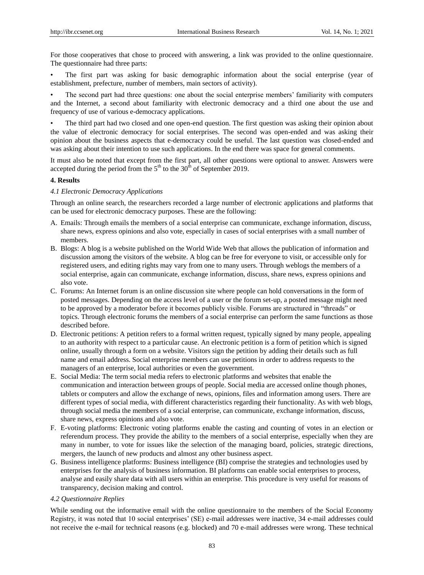For those cooperatives that chose to proceed with answering, a link was provided to the online questionnaire. The questionnaire had three parts:

The first part was asking for basic demographic information about the social enterprise (year of establishment, prefecture, number of members, main sectors of activity).

• The second part had three questions: one about the social enterprise members' familiarity with computers and the Internet, a second about familiarity with electronic democracy and a third one about the use and frequency of use of various e-democracy applications.

The third part had two closed and one open-end question. The first question was asking their opinion about the value of electronic democracy for social enterprises. The second was open-ended and was asking their opinion about the business aspects that e-democracy could be useful. The last question was closed-ended and was asking about their intention to use such applications. In the end there was space for general comments.

It must also be noted that except from the first part, all other questions were optional to answer. Answers were accepted during the period from the  $5<sup>th</sup>$  to the 30<sup>th</sup> of September 2019.

## **4. Results**

#### *4.1 Electronic Democracy Applications*

Through an online search, the researchers recorded a large number of electronic applications and platforms that can be used for electronic democracy purposes. These are the following:

- A. Emails: Through emails the members of a social enterprise can communicate, exchange information, discuss, share news, express opinions and also vote, especially in cases of social enterprises with a small number of members.
- B. Blogs: A blog is a website published on the World Wide Web that allows the publication of information and discussion among the visitors of the website. A blog can be free for everyone to visit, or accessible only for registered users, and editing rights may vary from one to many users. Through weblogs the members of a social enterprise, again can communicate, exchange information, discuss, share news, express opinions and also vote.
- C. Forums: An Internet forum is an online discussion site where people can hold conversations in the form of posted messages. Depending on the access level of a user or the forum set-up, a posted message might need to be approved by a moderator before it becomes publicly visible. Forums are structured in "threads" or topics. Through electronic forums the members of a social enterprise can perform the same functions as those described before.
- D. Electronic petitions: A petition refers to a formal written request, typically signed by many people, appealing to an authority with respect to a particular cause. An electronic petition is a form of petition which is signed online, usually through a form on a website. Visitors sign the petition by adding their details such as full name and email address. Social enterprise members can use petitions in order to address requests to the managers of an enterprise, local authorities or even the government.
- E. Social Media: The term social media refers to electronic platforms and websites that enable the communication and interaction between groups of people. Social media are accessed online though phones, tablets or computers and allow the exchange of news, opinions, files and information among users. There are different types of social media, with different characteristics regarding their functionality. As with web blogs, through social media the members of a social enterprise, can communicate, exchange information, discuss, share news, express opinions and also vote.
- F. E-voting platforms: Electronic voting platforms enable the casting and counting of votes in an election or referendum process. They provide the ability to the members of a social enterprise, especially when they are many in number, to vote for issues like the selection of the managing board, policies, strategic directions, mergers, the launch of new products and almost any other business aspect.
- G. Business intelligence platforms: Business intelligence (BI) comprise the strategies and technologies used by enterprises for the analysis of business information. BI platforms can enable social enterprises to process, analyse and easily share data with all users within an enterprise. This procedure is very useful for reasons of transparency, decision making and control.

#### *4.2 Questionnaire Replies*

While sending out the informative email with the online questionnaire to the members of the Social Economy Registry, it was noted that 10 social enterprises' (SE) e-mail addresses were inactive, 34 e-mail addresses could not receive the e-mail for technical reasons (e.g. blocked) and 70 e-mail addresses were wrong. These technical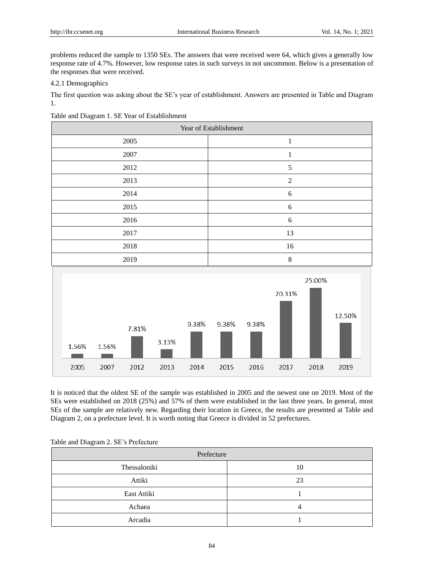problems reduced the sample to 1350 SEs. The answers that were received were 64, which gives a generally low response rate of 4.7%. However, low response rates in such surveys in not uncommon. Below is a presentation of the responses that were received.

# 4.2.1 Demographics

The first question was asking about the SE's year of establishment. Answers are presented in Table and Diagram 1.

Table and Diagram 1. SE Year of Establishment

| Year of Establishment |                |  |  |  |
|-----------------------|----------------|--|--|--|
| 2005                  | 1              |  |  |  |
| 2007                  |                |  |  |  |
| 2012                  | 5              |  |  |  |
| 2013                  | $\mathfrak{2}$ |  |  |  |
| 2014                  | 6              |  |  |  |
| 2015                  | 6              |  |  |  |
| 2016                  | 6              |  |  |  |
| 2017                  | 13             |  |  |  |
| 2018                  | 16             |  |  |  |
| 2019                  | 8              |  |  |  |
|                       |                |  |  |  |



It is noticed that the oldest SE of the sample was established in 2005 and the newest one on 2019. Most of the SEs were established on 2018 (25%) and 57% of them were established in the last three years. In general, most SEs of the sample are relatively new. Regarding their location in Greece, the results are presented at Table and Diagram 2, on a prefecture level. It is worth noting that Greece is divided in 52 prefectures.

| Table and Diagram 2. SE's Prefecture |  |
|--------------------------------------|--|
|--------------------------------------|--|

| Prefecture   |    |  |  |
|--------------|----|--|--|
| Thessaloniki | 10 |  |  |
| Attiki       | 23 |  |  |
| East Attiki  |    |  |  |
| Achaea       |    |  |  |
| Arcadia      |    |  |  |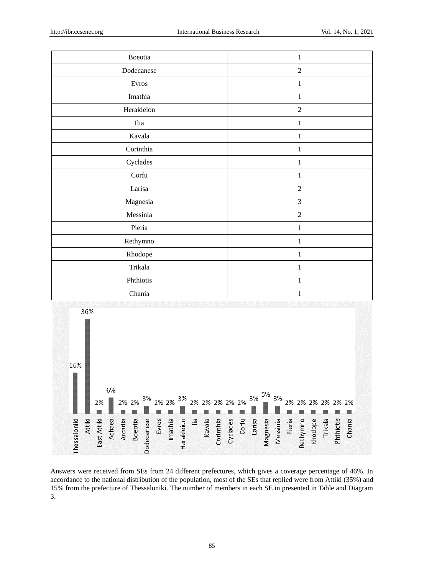16%

**Thessaloniki** 

Attiki

6%

Achaea

2%

East Attiki

3%

Dodecanese

2% 2%

Arcadia Boeotia 2% 2%

Evros

Imathia

3%

Herakleion

| $\textbf{Boeotia}$ | $\mathbf 1$    |
|--------------------|----------------|
| Dodecanese         | $\sqrt{2}$     |
| Evros              | $\mathbf 1$    |
| Imathia            | $\mathbf 1$    |
| Herakleion         | $\sqrt{2}$     |
| $\rm Ilia$         | $\mathbf 1$    |
| Kavala             | $\mathbf 1$    |
| Corinthia          | $\mathbf 1$    |
| Cyclades           | $\mathbf 1$    |
| Corfu              | $\mathbf 1$    |
| Larisa             | $\overline{2}$ |
| Magnesia           | $\overline{3}$ |
| $\hbox{ Messinia}$ | $\overline{2}$ |
| Pieria             | $\mathbf 1$    |
| Rethymno           | $\mathbf 1$    |
| Rhodope            | $\mathbf 1$    |
| Trikala            | $\mathbf 1$    |
| Phthiotis          | $\mathbf 1$    |
| Chania             | $\mathbf 1$    |
| 36%                |                |

Answers were received from SEs from 24 different prefectures, which gives a coverage percentage of 46%. In accordance to the national distribution of the population, most of the SEs that replied were from Attiki (35%) and 15% from the prefecture of Thessaloniki. The number of members in each SE in presented in Table and Diagram 3.

2% 2% 2% 2%

kavala

 $\mathop{=}^{\mathbf{G}}$ 

5% 3%

> Magnesia Messinia

2%

Corfu

Larisa

Cyclades

Corinthia

3%

2% 2% 2% 2% 2%

Rhodope<br>Trikala

Rethymno

Pieria

2%

Chania

Phthiotis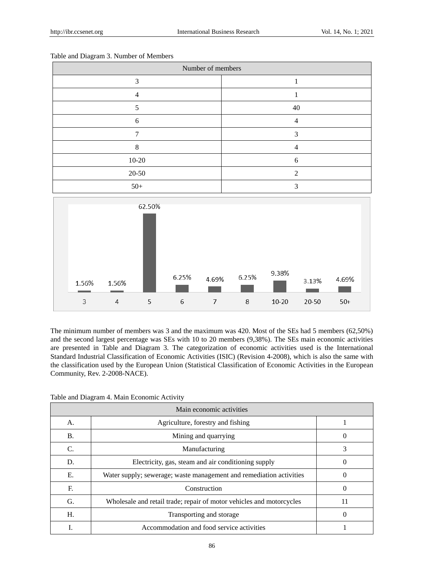| Number of members |    |  |  |  |
|-------------------|----|--|--|--|
| 3                 |    |  |  |  |
| 4                 |    |  |  |  |
|                   | 40 |  |  |  |
| 6                 | 4  |  |  |  |
|                   | っ  |  |  |  |
| 8                 |    |  |  |  |
| $10-20$           | 6  |  |  |  |
| $20 - 50$         | ∍  |  |  |  |
| $50+$             |    |  |  |  |

Table and Diagram 3. Number of Members



The minimum number of members was 3 and the maximum was 420. Most of the SEs had 5 members (62,50%) and the second largest percentage was SEs with 10 to 20 members (9,38%). The SEs main economic activities are presented in Table and Diagram 3. The categorization of economic activities used is the International Standard Industrial Classification of Economic Activities (ISIC) (Revision 4-2008), which is also the same with the classification used by the European Union (Statistical Classification of Economic Activities in the European Community, Rev. 2-2008-NACE).

| Table and Diagram 4. Main Economic Activity |  |  |  |
|---------------------------------------------|--|--|--|
|---------------------------------------------|--|--|--|

| Main economic activities |                                                                      |    |  |
|--------------------------|----------------------------------------------------------------------|----|--|
| А.                       | Agriculture, forestry and fishing                                    |    |  |
| Β.                       | Mining and quarrying                                                 |    |  |
| C.                       | Manufacturing                                                        | 3  |  |
| D.                       | Electricity, gas, steam and air conditioning supply                  |    |  |
| Ε.                       | Water supply; sewerage; waste management and remediation activities  |    |  |
| F.                       | Construction                                                         |    |  |
| G.                       | Wholesale and retail trade; repair of motor vehicles and motorcycles | 11 |  |
| Н.                       | Transporting and storage                                             |    |  |
|                          | Accommodation and food service activities                            |    |  |

86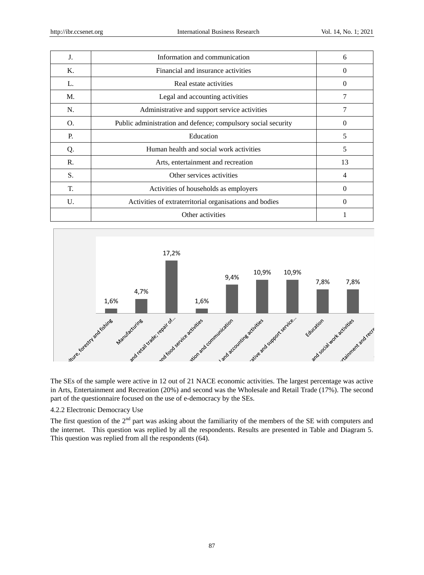| J.    | Information and communication                                 | 6        |
|-------|---------------------------------------------------------------|----------|
| Κ.    | Financial and insurance activities                            | $\theta$ |
| L.    | Real estate activities                                        | 0        |
| M.    | Legal and accounting activities                               | 7        |
| N.    | Administrative and support service activities                 |          |
| O.    | Public administration and defence; compulsory social security | 0        |
| P.    | Education                                                     | 5        |
| Q.    | Human health and social work activities                       | 5        |
| R.    | Arts, entertainment and recreation                            | 13       |
| S.    | Other services activities                                     |          |
| T.    | Activities of households as employers                         | 0        |
| $U$ . | Activities of extraterritorial organisations and bodies       | 0        |
|       | Other activities                                              |          |



The SEs of the sample were active in 12 out of 21 NACE economic activities. The largest percentage was active in Arts, Entertainment and Recreation (20%) and second was the Wholesale and Retail Trade (17%). The second part of the questionnaire focused on the use of e-democracy by the SEs.

# 4.2.2 Electronic Democracy Use

The first question of the 2<sup>nd</sup> part was asking about the familiarity of the members of the SE with computers and the internet. This question was replied by all the respondents. Results are presented in Table and Diagram 5. This question was replied from all the respondents (64).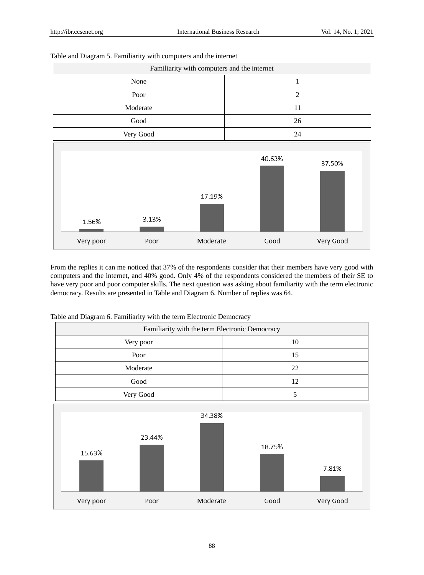| Familiarity with computers and the internet |          |                |           |  |  |  |
|---------------------------------------------|----------|----------------|-----------|--|--|--|
| None                                        |          | $\mathbf{1}$   |           |  |  |  |
| Poor                                        |          | $\overline{2}$ |           |  |  |  |
| Moderate                                    |          | 11             |           |  |  |  |
| Good                                        |          | 26             |           |  |  |  |
| Very Good                                   |          | 24             |           |  |  |  |
| 3.13%<br>1.56%                              | 17.19%   | 40.63%         | 37.50%    |  |  |  |
| Very poor<br>Poor                           | Moderate | Good           | Very Good |  |  |  |

Table and Diagram 5. Familiarity with computers and the internet

From the replies it can me noticed that 37% of the respondents consider that their members have very good with computers and the internet, and 40% good. Only 4% of the respondents considered the members of their SE to have very poor and poor computer skills. The next question was asking about familiarity with the term electronic democracy. Results are presented in Table and Diagram 6. Number of replies was 64.

Table and Diagram 6. Familiarity with the term Electronic Democracy

|                                                | ັ<br>$\checkmark$<br>ັ |          |        |           |  |  |
|------------------------------------------------|------------------------|----------|--------|-----------|--|--|
| Familiarity with the term Electronic Democracy |                        |          |        |           |  |  |
|                                                | Very poor              |          | 10     |           |  |  |
|                                                | Poor                   |          | 15     |           |  |  |
|                                                | Moderate               |          | 22     |           |  |  |
|                                                | Good                   |          | 12     |           |  |  |
|                                                | Very Good              |          | 5      |           |  |  |
| 15.63%                                         | 23.44%                 | 34.38%   | 18.75% | 7.81%     |  |  |
| Very poor                                      | Poor                   | Moderate | Good   | Very Good |  |  |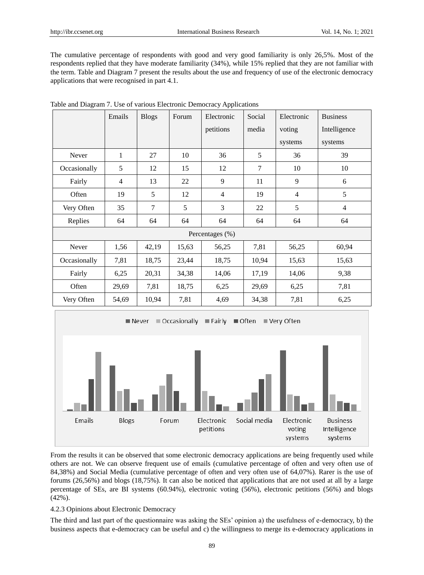The cumulative percentage of respondents with good and very good familiarity is only 26,5%. Most of the respondents replied that they have moderate familiarity (34%), while 15% replied that they are not familiar with the term. Table and Diagram 7 present the results about the use and frequency of use of the electronic democracy applications that were recognised in part 4.1.

| o            |              |              |       | T.              |                |                |                 |
|--------------|--------------|--------------|-------|-----------------|----------------|----------------|-----------------|
|              | Emails       | <b>Blogs</b> | Forum | Electronic      | Social         | Electronic     | <b>Business</b> |
|              |              |              |       | petitions       | media          | voting         | Intelligence    |
|              |              |              |       |                 |                | systems        | systems         |
| Never        | $\mathbf{1}$ | 27           | 10    | 36              | 5              | 36             | 39              |
| Occasionally | 5            | 12           | 15    | 12              | $\overline{7}$ | 10             | 10              |
| Fairly       | 4            | 13           | 22    | 9               | 11             | 9              | 6               |
| Often        | 19           | 5            | 12    | $\overline{4}$  | 19             | $\overline{4}$ | 5               |
| Very Often   | 35           | $\tau$       | 5     | 3               | 22             | 5              | $\overline{4}$  |
| Replies      | 64           | 64           | 64    | 64              | 64             | 64             | 64              |
|              |              |              |       | Percentages (%) |                |                |                 |
| Never        | 1,56         | 42,19        | 15,63 | 56,25           | 7,81           | 56,25          | 60,94           |
| Occasionally | 7,81         | 18,75        | 23,44 | 18,75           | 10,94          | 15,63          | 15,63           |
| Fairly       | 6,25         | 20,31        | 34,38 | 14,06           | 17,19          | 14,06          | 9,38            |
| Often        | 29,69        | 7,81         | 18,75 | 6,25            | 29,69          | 6,25           | 7,81            |
| Very Often   | 54,69        | 10,94        | 7,81  | 4,69            | 34,38          | 7,81           | 6,25            |

| Table and Diagram 7. Use of various Electronic Democracy Applications |
|-----------------------------------------------------------------------|
|-----------------------------------------------------------------------|



From the results it can be observed that some electronic democracy applications are being frequently used while others are not. We can observe frequent use of emails (cumulative percentage of often and very often use of 84,38%) and Social Media (cumulative percentage of often and very often use of 64,07%). Rarer is the use of forums (26,56%) and blogs (18,75%). It can also be noticed that applications that are not used at all by a large percentage of SEs, are BI systems (60.94%), electronic voting (56%), electronic petitions (56%) and blogs (42%).

## 4.2.3 Opinions about Electronic Democracy

The third and last part of the questionnaire was asking the SEs' opinion a) the usefulness of e-democracy, b) the business aspects that e-democracy can be useful and c) the willingness to merge its e-democracy applications in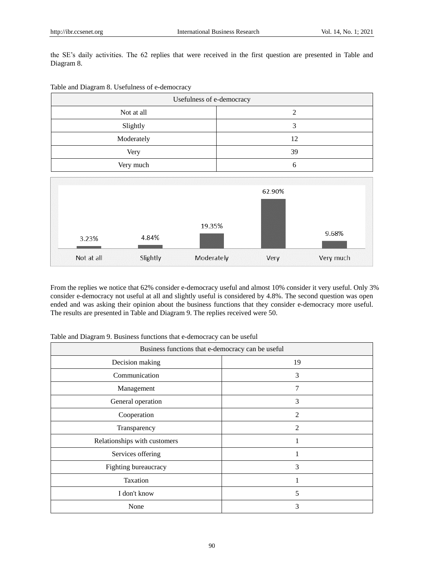the SE's daily activities. The 62 replies that were received in the first question are presented in Table and Diagram 8.

| Table and Diagram 8. Usefulness of e-democracy |  |  |  |  |
|------------------------------------------------|--|--|--|--|
|------------------------------------------------|--|--|--|--|

| Usefulness of e-democracy            |                   |  |  |  |  |  |  |
|--------------------------------------|-------------------|--|--|--|--|--|--|
| Not at all                           | $\sqrt{2}$        |  |  |  |  |  |  |
| Slightly                             | 3                 |  |  |  |  |  |  |
| Moderately                           | 12                |  |  |  |  |  |  |
| Very                                 | 39                |  |  |  |  |  |  |
| Very much                            | 6                 |  |  |  |  |  |  |
| 19.35%<br>4.84%<br>3.23%             | 62.90%<br>9.68%   |  |  |  |  |  |  |
| Not at all<br>Slightly<br>Moderately | Very much<br>Very |  |  |  |  |  |  |

From the replies we notice that 62% consider e-democracy useful and almost 10% consider it very useful. Only 3% consider e-democracy not useful at all and slightly useful is considered by 4.8%. The second question was open ended and was asking their opinion about the business functions that they consider e-democracy more useful. The results are presented in Table and Diagram 9. The replies received were 50.

| Table and Diagram 9. Business functions that e-democracy can be useful |  |  |  |  |
|------------------------------------------------------------------------|--|--|--|--|
|                                                                        |  |  |  |  |

| Business functions that e-democracy can be useful |                |  |  |  |
|---------------------------------------------------|----------------|--|--|--|
| Decision making                                   | 19             |  |  |  |
| Communication                                     | 3              |  |  |  |
| Management                                        | 7              |  |  |  |
| General operation                                 | 3              |  |  |  |
| Cooperation                                       | $\overline{2}$ |  |  |  |
| Transparency                                      | $\overline{2}$ |  |  |  |
| Relationships with customers                      |                |  |  |  |
| Services offering                                 |                |  |  |  |
| Fighting bureaucracy                              | 3              |  |  |  |
| Taxation                                          | 1              |  |  |  |
| I don't know                                      | 5              |  |  |  |
| None                                              | 3              |  |  |  |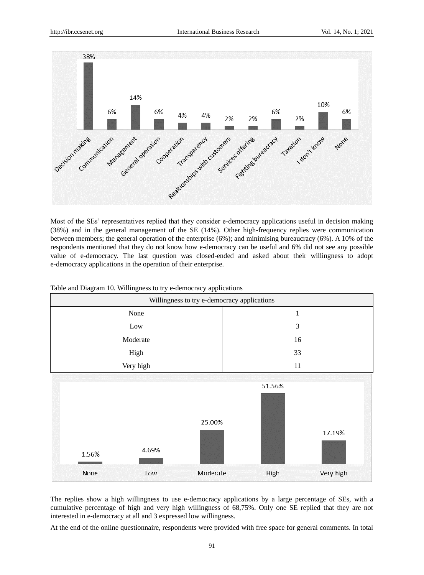

Most of the SEs' representatives replied that they consider e-democracy applications useful in decision making (38%) and in the general management of the SE (14%). Other high-frequency replies were communication between members; the general operation of the enterprise (6%); and minimising bureaucracy (6%). A 10% of the respondents mentioned that they do not know how e-democracy can be useful and 6% did not see any possible value of e-democracy. The last question was closed-ended and asked about their willingness to adopt e-democracy applications in the operation of their enterprise.

| Willingness to try e-democracy applications |           |          |              |           |  |  |
|---------------------------------------------|-----------|----------|--------------|-----------|--|--|
|                                             | None      |          | $\mathbf{1}$ |           |  |  |
|                                             | Low       |          | 3            |           |  |  |
|                                             | Moderate  |          | 16           |           |  |  |
|                                             | High      |          | 33           |           |  |  |
|                                             | Very high |          | 11           |           |  |  |
| 1.56%                                       | 4.69%     | 25.00%   | 51.56%       | 17.19%    |  |  |
| None                                        | Low       | Moderate | High         | Very high |  |  |

Table and Diagram 10. Willingness to try e-democracy applications

The replies show a high willingness to use e-democracy applications by a large percentage of SEs, with a cumulative percentage of high and very high willingness of 68,75%. Only one SE replied that they are not interested in e-democracy at all and 3 expressed low willingness.

At the end of the online questionnaire, respondents were provided with free space for general comments. In total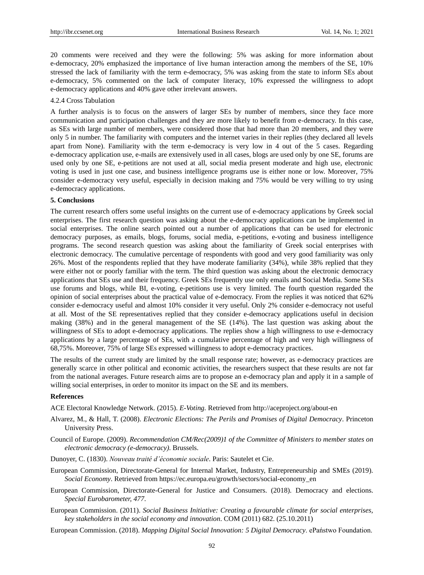20 comments were received and they were the following: 5% was asking for more information about e-democracy, 20% emphasized the importance of live human interaction among the members of the SE, 10% stressed the lack of familiarity with the term e-democracy, 5% was asking from the state to inform SEs about e-democracy, 5% commented on the lack of computer literacy, 10% expressed the willingness to adopt e-democracy applications and 40% gave other irrelevant answers.

#### 4.2.4 Cross Tabulation

A further analysis is to focus on the answers of larger SEs by number of members, since they face more communication and participation challenges and they are more likely to benefit from e-democracy. In this case, as SEs with large number of members, were considered those that had more than 20 members, and they were only 5 in number. The familiarity with computers and the internet varies in their replies (they declared all levels apart from None). Familiarity with the term e-democracy is very low in 4 out of the 5 cases. Regarding e-democracy application use, e-mails are extensively used in all cases, blogs are used only by one SE, forums are used only by one SE, e-petitions are not used at all, social media present moderate and high use, electronic voting is used in just one case, and business intelligence programs use is either none or low. Moreover, 75% consider e-democracy very useful, especially in decision making and 75% would be very willing to try using e-democracy applications.

#### **5. Conclusions**

The current research offers some useful insights on the current use of e-democracy applications by Greek social enterprises. The first research question was asking about the e-democracy applications can be implemented in social enterprises. The online search pointed out a number of applications that can be used for electronic democracy purposes, as emails, blogs, forums, social media, e-petitions, e-voting and business intelligence programs. The second research question was asking about the familiarity of Greek social enterprises with electronic democracy. The cumulative percentage of respondents with good and very good familiarity was only 26%. Most of the respondents replied that they have moderate familiarity (34%), while 38% replied that they were either not or poorly familiar with the term. The third question was asking about the electronic democracy applications that SEs use and their frequency. Greek SEs frequently use only emails and Social Media. Some SEs use forums and blogs, while BI, e-voting, e-petitions use is very limited. The fourth question regarded the opinion of social enterprises about the practical value of e-democracy. From the replies it was noticed that 62% consider e-democracy useful and almost 10% consider it very useful. Only 2% consider e-democracy not useful at all. Most of the SE representatives replied that they consider e-democracy applications useful in decision making (38%) and in the general management of the SE (14%). The last question was asking about the willingness of SEs to adopt e-democracy applications. The replies show a high willingness to use e-democracy applications by a large percentage of SEs, with a cumulative percentage of high and very high willingness of 68,75%. Moreover, 75% of large SEs expressed willingness to adopt e-democracy practices.

The results of the current study are limited by the small response rate; however, as e-democracy practices are generally scarce in other political and economic activities, the researchers suspect that these results are not far from the national averages. Future research aims are to propose an e-democracy plan and apply it in a sample of willing social enterprises, in order to monitor its impact on the SE and its members.

#### **References**

ACE Electoral Knowledge Network. (2015). *E-Voting.* Retrieved from http://aceproject.org/about-en

- Alvarez, M., & Hall, T. (2008). *Electronic Elections: The Perils and Promises of Digital Democracy*. Princeton University Press.
- Council of Europe. (2009). *Recommendation CM/Rec(2009)1 of the Committee of Ministers to member states on electronic democracy (e-democracy)*. Brussels.
- Dunoyer, C. (1830). *Nouveau traité d'économie sociale*. Paris: Sautelet et Cie.
- European Commission, Directorate-General for Internal Market, Industry, Entrepreneurship and SMEs (2019). *Social Economy*. Retrieved from https://ec.europa.eu/growth/sectors/social-economy\_en
- European Commission, Directorate-General for Justice and Consumers. (2018). Democracy and elections. *Special Eurobarometer, 477*.
- European Commission. (2011). *Social Business Initiative: Creating a favourable climate for social enterprises, key stakeholders in the social economy and innovation*. COM (2011) 682. (25.10.2011)

European Commission. (2018). *Mapping Digital Social Innovation: 5 Digital Democracy*. ePaństwo Foundation.